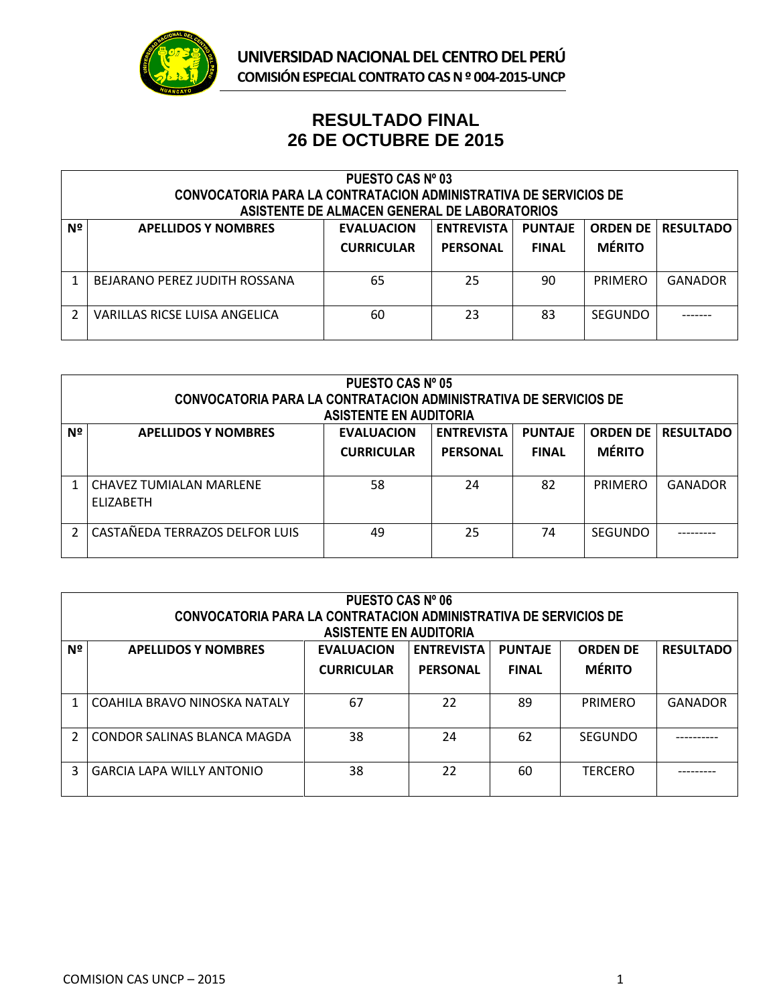

## **RESULTADO FINAL 26 DE OCTUBRE DE 2015**

| PUESTO CAS Nº 03<br><b>CONVOCATORIA PARA LA CONTRATACION ADMINISTRATIVA DE SERVICIOS DE</b><br>ASISTENTE DE ALMACEN GENERAL DE LABORATORIOS |                               |                                        |                                        |                                |                |                             |
|---------------------------------------------------------------------------------------------------------------------------------------------|-------------------------------|----------------------------------------|----------------------------------------|--------------------------------|----------------|-----------------------------|
| Nº                                                                                                                                          | <b>APELLIDOS Y NOMBRES</b>    | <b>EVALUACION</b><br><b>CURRICULAR</b> | <b>ENTREVISTA  </b><br><b>PERSONAL</b> | <b>PUNTAJE</b><br><b>FINAL</b> | <b>MÉRITO</b>  | <b>ORDEN DE   RESULTADO</b> |
|                                                                                                                                             | BEJARANO PEREZ JUDITH ROSSANA | 65                                     | 25                                     | 90                             | PRIMERO        | <b>GANADOR</b>              |
|                                                                                                                                             | VARILLAS RICSE LUISA ANGELICA | 60                                     | 23                                     | 83                             | <b>SEGUNDO</b> |                             |

| <b>PUESTO CAS Nº 05</b><br>CONVOCATORIA PARA LA CONTRATACION ADMINISTRATIVA DE SERVICIOS DE<br><b>ASISTENTE EN AUDITORIA</b> |                                                    |                                        |                                      |                                |                                  |                  |
|------------------------------------------------------------------------------------------------------------------------------|----------------------------------------------------|----------------------------------------|--------------------------------------|--------------------------------|----------------------------------|------------------|
| Nº                                                                                                                           | <b>APELLIDOS Y NOMBRES</b>                         | <b>EVALUACION</b><br><b>CURRICULAR</b> | <b>ENTREVISTA</b><br><b>PERSONAL</b> | <b>PUNTAJE</b><br><b>FINAL</b> | <b>ORDEN DE</b><br><b>MÉRITO</b> | <b>RESULTADO</b> |
|                                                                                                                              | <b>CHAVEZ TUMIALAN MARLENE</b><br><b>FLIZABETH</b> | 58                                     | 24                                   | 82                             | PRIMERO                          | <b>GANADOR</b>   |
|                                                                                                                              | CASTAÑEDA TERRAZOS DELFOR LUIS                     | 49                                     | 25                                   | 74                             | <b>SEGUNDO</b>                   |                  |

| <b>PUESTO CAS Nº 06</b><br><b>CONVOCATORIA PARA LA CONTRATACION ADMINISTRATIVA DE SERVICIOS DE</b> |                                  |                   |                   |                |                 |                  |  |  |
|----------------------------------------------------------------------------------------------------|----------------------------------|-------------------|-------------------|----------------|-----------------|------------------|--|--|
|                                                                                                    | <b>ASISTENTE EN AUDITORIA</b>    |                   |                   |                |                 |                  |  |  |
| Nº                                                                                                 | <b>APELLIDOS Y NOMBRES</b>       | <b>EVALUACION</b> | <b>ENTREVISTA</b> | <b>PUNTAJE</b> | <b>ORDEN DE</b> | <b>RESULTADO</b> |  |  |
|                                                                                                    |                                  | <b>CURRICULAR</b> | <b>PERSONAL</b>   | <b>FINAL</b>   | <b>MÉRITO</b>   |                  |  |  |
|                                                                                                    |                                  |                   |                   |                |                 |                  |  |  |
|                                                                                                    | COAHILA BRAVO NINOSKA NATALY     | 67                | 22                | 89             | PRIMERO         | <b>GANADOR</b>   |  |  |
| $\overline{2}$                                                                                     | CONDOR SALINAS BLANCA MAGDA      | 38                | 24                | 62             | <b>SEGUNDO</b>  |                  |  |  |
| 3                                                                                                  | <b>GARCIA LAPA WILLY ANTONIO</b> | 38                | 22                | 60             | <b>TERCERO</b>  |                  |  |  |